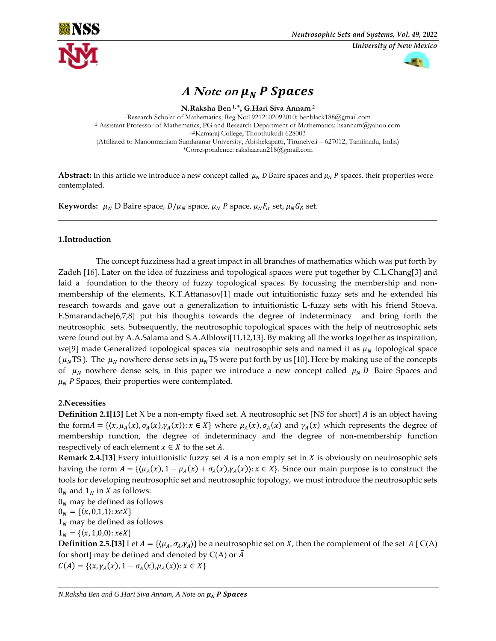



# A Note on  $\mu_N$  **P** Spaces

**N.Raksha Ben 1, \* , G.Hari Siva Annam <sup>2</sup>** <sup>1</sup>Research Scholar of Mathematics, Reg No:19212102092010; benblack188@gmail.com <sup>2</sup> Assistant Professor of Mathematics, PG and Research Department of Mathematics; hsannam@yahoo.com 1,2Kamaraj College, Thoothukudi-628003 (Affiliated to Manonmaniam Sundaranar University, Abishekapatti, Tirunelveli – 627012, Tamilnadu, India) \*Correspondence: rakshaarun218@gmail.com

**Abstract:** In this article we introduce a new concept called  $\mu_N D$  Baire spaces and  $\mu_N P$  spaces, their properties were contemplated.

\_\_\_\_\_\_\_\_\_\_\_\_\_\_\_\_\_\_\_\_\_\_\_\_\_\_\_\_\_\_\_\_\_\_\_\_\_\_\_\_\_\_\_\_\_\_\_\_\_\_\_\_\_\_\_\_\_\_\_\_\_\_\_\_\_\_\_\_\_\_\_\_\_\_\_\_\_\_

**Keywords:**  $\mu_N$  D Baire space,  $D/\mu_N$  space,  $\mu_N P$  space,  $\mu_N F_{\sigma}$  set,  $\mu_N G_{\delta}$  set.

#### **1.Introduction**

 The concept fuzziness had a great impact in all branches of mathematics which was put forth by Zadeh [16]. Later on the idea of fuzziness and topological spaces were put together by C.L.Chang[3] and laid a foundation to the theory of fuzzy topological spaces. By focussing the membership and nonmembership of the elements, K.T.Attanasov[1] made out intuitionistic fuzzy sets and he extended his research towards and gave out a generalization to intuitionistic L-fuzzy sets with his friend Stoeva. F.Smarandache[6,7,8] put his thoughts towards the degree of indeterminacy and bring forth the neutrosophic sets. Subsequently, the neutrosophic topological spaces with the help of neutrosophic sets were found out by A.A.Salama and S.A.Alblowi[11,12,13]. By making all the works together as inspiration, we[9] made Generalized topological spaces via neutrosophic sets and named it as  $\mu_N$  topological space ( $\mu_N$ TS). The  $\mu_N$  nowhere dense sets in  $\mu_N$ TS were put forth by us [10]. Here by making use of the concepts of  $\mu_N$  nowhere dense sets, in this paper we introduce a new concept called  $\mu_N D$  Baire Spaces and  $\mu_N$  P Spaces, their properties were contemplated.

#### **2.Necessities**

**Definition 2.1[13]** Let X be a non-empty fixed set. A neutrosophic set [NS for short] A is an object having the form  $A = \{(x, \mu_A(x), \sigma_A(x), \gamma_A(x)) : x \in X\}$  where  $\mu_A(x), \sigma_A(x)$  and  $\gamma_A(x)$  which represents the degree of membership function, the degree of indeterminacy and the degree of non-membership function respectively of each element  $x \in X$  to the set A.

**Remark 2.4.[13]** Every intuitionistic fuzzy set  $A$  is a non empty set in  $X$  is obviously on neutrosophic sets having the form  $A = \{(\mu_A(x), 1 - \mu_A(x) + \sigma_A(x), \gamma_A(x)) : x \in X\}$ . Since our main purpose is to construct the tools for developing neutrosophic set and neutrosophic topology, we must introduce the neutrosophic sets  $0_N$  and  $1_N$  in X as follows:

 $0<sub>N</sub>$  may be defined as follows  $0_N = \{\langle x, 0, 1, 1 \rangle : x \in X\}$  $1_N$  may be defined as follows

 $1_N = \{(x, 1, 0, 0) : x \in X\}$ 

**Definition 2.5.[13]** Let  $A = {\langle \mu_A, \sigma_A, \gamma_A \rangle}$  be a neutrosophic set on X, then the complement of the set  $A \mid C(A)$ for short] may be defined and denoted by  $C(A)$  or  $\overline{A}$ 

 $C(A) = \{ (x, \gamma_A(x), 1 - \sigma_A(x), \mu_A(x)) : x \in X \}$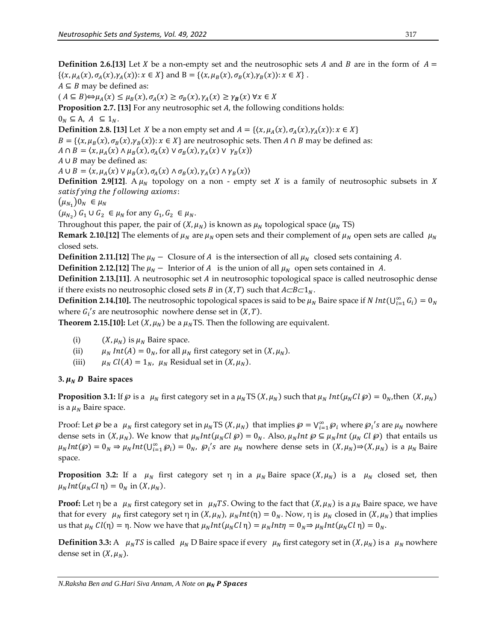**Definition 2.6.**[13] Let *X* be a non-empty set and the neutrosophic sets *A* and *B* are in the form of  $A =$  $\{\langle x,\mu_A(x),\sigma_A(x),\gamma_A(x)\rangle : x \in X\}$  and  $B = \{\langle x,\mu_B(x),\sigma_B(x),\gamma_B(x)\rangle : x \in X\}$ .  $A \subseteq B$  may be defined as:  $(A \subseteq B) \Leftrightarrow \mu_A(x) \le \mu_B(x), \sigma_A(x) \ge \sigma_B(x), \gamma_A(x) \ge \gamma_B(x) \,\forall x \in X$ **Proposition 2.7. [13]** For any neutrosophic set A, the following conditions holds:  $0_N \subseteq A$ ,  $A \subseteq 1_N$ . **Definition 2.8. [13]** Let *X* be a non empty set and  $A = \{(x, \mu_A(x), \sigma_A(x), \gamma_A(x)) : x \in X\}$  $B = \{ (x, \mu_B(x), \sigma_B(x), \gamma_B(x)) : x \in X \}$  are neutrosophic sets. Then  $A \cap B$  may be defined as:  $A \cap B = \langle x, \mu_A(x) \land \mu_B(x), \sigma_A(x) \lor \sigma_B(x), \gamma_A(x) \lor \gamma_B(x) \rangle$  $A \cup B$  may be defined as:

 $A \cup B = \langle x, \mu_A(x) \lor \mu_B(x), \sigma_A(x) \land \sigma_B(x), \gamma_A(x) \land \gamma_B(x) \rangle$ 

**Definition 2.9[12].** A  $\mu_N$  topology on a non - empty set *X* is a family of neutrosophic subsets in *X* satisfying the following axioms:

 $(\mu_{N_1})0_N \in \mu_N$ 

 $(\mu_{N_2})$   $G_1 \cup G_2 \in \mu_N$  for any  $G_1, G_2 \in \mu_N$ .

Throughout this paper, the pair of  $(X, \mu_N)$  is known as  $\mu_N$  topological space  $(\mu_N$  TS)

**Remark 2.10.[12]** The elements of  $\mu_N$  are  $\mu_N$  open sets and their complement of  $\mu_N$  open sets are called  $\mu_N$ closed sets.

**Definition 2.11.[12]** The  $\mu_N$  – Closure of *A* is the intersection of all  $\mu_N$  closed sets containing *A*.

**Definition 2.12.[12]** The  $\mu_N$  – Interior of A is the union of all  $\mu_N$  open sets contained in A.

**Definition 2.13.[11]**. A neutrosophic set *A* in neutrosophic topological space is called neutrosophic dense if there exists no neutrosophic closed sets *B* in  $(X, T)$  such that  $A \subset B \subset 1_N$ .

**Definition 2.14.[10].** The neutrosophic topological spaces is said to be  $\mu_N$  Baire space if N Int( $\bigcup_{i=1}^{\infty} G_i$ ) = 0<sub>N</sub> where  $G_i$ 's are neutrosophic nowhere dense set in  $(X, T)$ .

**Theorem 2.15.[10]:** Let  $(X, \mu_N)$  be a  $\mu_N$  TS. Then the following are equivalent.

- (i)  $(X, \mu_N)$  is  $\mu_N$  Baire space.
- (ii)  $\mu_N Int(A) = 0_N$ , for all  $\mu_N$  first category set in  $(X, \mu_N)$ .
- (iii)  $\mu_N Cl(A) = 1_N$ ,  $\mu_N$  Residual set in  $(X, \mu_N)$ .

#### 3.  $\mu_N$  *D* Baire spaces

**Proposition 3.1:** If  $\wp$  is a  $\mu_N$  first category set in a  $\mu_N$  TS  $(X, \mu_N)$  such that  $\mu_N$  Int $(\mu_N C \mathbf{l} \ \wp) = 0_N$ , then  $(X, \mu_N)$ is a  $\mu_N$  Baire space.

Proof: Let  $\wp$  be a  $\mu_N$  first category set in  $\mu_N$ TS  $(X, \mu_N)$  that implies  $\wp = \bigvee_{i=1}^{\infty} \wp_i$  where  $\wp_i$ 's are  $\mu_N$  nowhere dense sets in  $(X, \mu_N)$ . We know that  $\mu_N Int(\mu_N Cl \otimes) = 0_N$ . Also,  $\mu_N Int \otimes \mu_N Int(\mu_N Cl \otimes)$  that entails us  $\mu_N Int(\mathcal{G}) = 0_N \Rightarrow \mu_N Int(U_{i=1}^{\infty} \mathcal{G}_i) = 0_N$ ,  $\mathcal{G}_i$ 's are  $\mu_N$  nowhere dense sets in  $(X, \mu_N) \Rightarrow (X, \mu_N)$  is a  $\mu_N$  Baire space.

**Proposition 3.2:** If a  $\mu_N$  first category set  $\eta$  in a  $\mu_N$  Baire space  $(X, \mu_N)$  is a  $\mu_N$  closed set, then  $\mu_N Int(\mu_N Cl \eta) = 0_N$  in  $(X, \mu_N)$ .

**Proof:** Let  $\eta$  be a  $\mu_N$  first category set in  $\mu_N TS$ . Owing to the fact that  $(X, \mu_N)$  is a  $\mu_N$  Baire space, we have that for every  $\mu_N$  first category set  $\eta$  in  $(X, \mu_N)$ ,  $\mu_N Int(\eta) = 0_N$ . Now,  $\eta$  is  $\mu_N$  closed in  $(X, \mu_N)$  that implies us that  $\mu_N Cl(\eta) = \eta$ . Now we have that  $\mu_N Int(\mu_N Cl \eta) = \mu_N Int(\eta = 0_N \Rightarrow \mu_N Int(\mu_N Cl \eta) = 0_N$ .

**Definition 3.3:** A  $\mu_N TS$  is called  $\mu_N D$  Baire space if every  $\mu_N$  first category set in  $(X, \mu_N)$  is a  $\mu_N$  nowhere dense set in  $(X, \mu_N)$ .

*N.Raksha Ben and G.Hari Siva Annam, A Note on*  $\mu_N$  **P Spaces**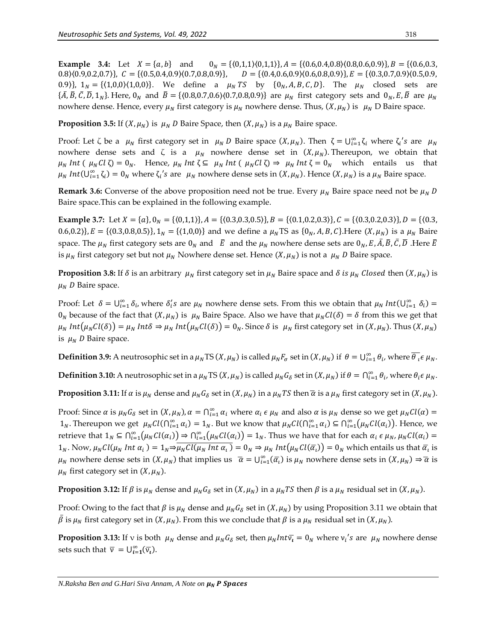**Example 3.4:** Let = {, } and 0 = {〈0,1,1〉〈0,1,1〉}, = {〈0.6,0.4,0.8〉〈0.8,0.6,0.9〉}, = {〈0.6,0.3, 0.8 $\langle 0.9, 0.2, 0.7 \rangle$ ,  $C = \{ (0.5, 0.4, 0.9) \langle 0.7, 0.8, 0.9 \rangle \}$ ,  $D = \{ (0.4, 0.6, 0.9) \langle 0.6, 0.8, 0.9 \rangle \}$ ,  $E = \{ (0.3, 0.7, 0.9) \langle 0.5, 0.9, 0.9 \rangle \}$ 0.9)},  $1_N = \{(1,0,0)\{(1,0,0)\}\}$ . We define a  $\mu_N TS$  by  $\{0_N, A, B, C, D\}$ . The  $\mu_N$  closed sets are  $\{\overline{A}, \overline{B}, \overline{C}, \overline{D}, 1_N\}$ . Here,  $0_N$  and  $\overline{B} = \{(0.8, 0.7, 0.6)(0.7, 0.8, 0.9)\}$  are  $\mu_N$  first category sets and  $0_N$ ,  $\overline{E}, \overline{B}$  are  $\mu_N$ nowhere dense. Hence, every  $\mu_N$  first category is  $\mu_N$  nowhere dense. Thus,  $(X, \mu_N)$  is  $\mu_N$  D Baire space.

**Proposition 3.5:** If  $(X, \mu_N)$  is  $\mu_N$  *D* Baire Space, then  $(X, \mu_N)$  is a  $\mu_N$  Baire space.

Proof: Let  $\zeta$  be a  $\mu_N$  first category set in  $\mu_N D$  Baire space  $(X, \mu_N)$ . Then  $\zeta = \bigcup_{i=1}^{\infty} \zeta_i$  where  $\zeta_i$ 's are  $\mu_N$ nowhere dense sets and  $\zeta$  is a  $\mu_N$  nowhere dense set in  $(X, \mu_N)$ . Thereupon, we obtain that  $\mu_N Int (\mu_N Cl \zeta) = 0_N$ . Hence,  $\mu_N Int \zeta \subseteq \mu_N Int (\mu_N Cl \zeta) \Rightarrow \mu_N Int \zeta = 0_N$  which entails us that  $\mu_N Int(U_{i=1}^{\infty} \zeta_i) = 0_N$  where  $\zeta_i$ 's are  $\mu_N$  nowhere dense sets in  $(X, \mu_N)$ . Hence  $(X, \mu_N)$  is a  $\mu_N$  Baire space.

**Remark 3.6:** Converse of the above proposition need not be true. Every  $\mu_N$  Baire space need not be  $\mu_N$  D Baire space.This can be explained in the following example.

**Example 3.7:** Let  $X = \{a\}, 0_N = \{(0.1, 1)\}, A = \{(0.3, 0.3, 0.5)\}, B = \{(0.1, 0.2, 0.3)\}, C = \{(0.3, 0.2, 0.3)\}, D = \{(0.3, 0.3, 0.5)\}, D = \{(0.3, 0.3, 0.3, 0.5)\}, D = \{(0.3, 0.3, 0.3, 0.5)\}$ 0.6,0.2)},  $E = \{(0.3, 0.8, 0.5)\}\$ ,  $1_N = \{(1, 0, 0)\}\$  and we define a  $\mu_N$ TS as  $\{0_N, A, B, C\}$ . Here  $(X, \mu_N)$  is a  $\mu_N$  Baire space. The  $\mu_N$  first category sets are  $0_N$  and  $\bar{E}$  and the  $\mu_N$  nowhere dense sets are  $0_N$ , E,  $\bar{A}$ ,  $\bar{B}$ ,  $\bar{C}$ ,  $\bar{D}$ . Here  $\bar{E}$ is  $\mu_N$  first category set but not  $\mu_N$  Nowhere dense set. Hence  $(X, \mu_N)$  is not a  $\mu_N$  D Baire space.

**Proposition 3.8:** If  $\delta$  is an arbitrary  $\mu_N$  first category set in  $\mu_N$  Baire space and  $\delta$  is  $\mu_N$  Closed then  $(X, \mu_N)$  is  $\mu_N$  D Baire space.

Proof: Let  $\delta = \bigcup_{i=1}^{\infty} \delta_i$ , where  $\delta_i$ 's are  $\mu_N$  nowhere dense sets. From this we obtain that  $\mu_N$  Int $(\bigcup_{i=1}^{\infty} \delta_i)$  =  $0_N$  because of the fact that  $(X, \mu_N)$  is  $\mu_N$  Baire Space. Also we have that  $\mu_N Cl(\delta) = \delta$  from this we get that  $\mu_N Int(\mu_N Cl(\delta)) = \mu_N Int(\delta \Rightarrow \mu_N Int(\mu_N Cl(\delta)) = 0_N$ . Since  $\delta$  is  $\mu_N$  first category set in  $(X, \mu_N)$ . Thus  $(X, \mu_N)$ is  $\mu_N$  *D* Baire space.

**Definition 3.9:** A neutrosophic set in a  $\mu_N$ TS (X,  $\mu_N$ ) is called  $\mu_N F_{\sigma}$  set in (X,  $\mu_N$ ) if  $\theta = \bigcup_{i=1}^{\infty} \theta_i$ , where  $\overline{\theta_i} \epsilon \mu_N$ .

**Definition 3.10:** A neutrosophic set in a  $\mu_N$ TS (X,  $\mu_N$ ) is called  $\mu_N G_\delta$  set in (X,  $\mu_N$ ) if  $\theta = \bigcap_{i=1}^{\infty} \theta_i$ , where  $\theta_i \in \mu_N$ .

**Proposition 3.11:** If  $\alpha$  is  $\mu_N$  dense and  $\mu_N G_\delta$  set in  $(X, \mu_N)$  in a  $\mu_N TS$  then  $\overline{\alpha}$  is a  $\mu_N$  first category set in  $(X, \mu_N)$ .

Proof: Since  $\alpha$  is  $\mu_N G_\delta$  set in  $(X, \mu_N)$ ,  $\alpha = \bigcap_{i=1}^\infty \alpha_i$  where  $\alpha_i \in \mu_N$  and also  $\alpha$  is  $\mu_N$  dense so we get  $\mu_N Cl(\alpha) =$  $1_N$ . Thereupon we get  $\mu_N Cl(\bigcap_{i=1}^{\infty} \alpha_i) = 1_N$ . But we know that  $\mu_N Cl(\bigcap_{i=1}^{\infty} \alpha_i) \subseteq \bigcap_{i=1}^{\infty} (\mu_N Cl(\alpha_i))$ . Hence, we retrieve that  $1_N \subseteq \bigcap_{i=1}^{\infty} (\mu_N Cl(\alpha_i)) \Rightarrow \bigcap_{i=1}^{\infty} (\mu_N Cl(\alpha_i)) = 1_N$ . Thus we have that for each  $\alpha_i \in \mu_N$ ,  $\mu_N Cl(\alpha_i) =$  $1_N$ . Now,  $\mu_N Cl(\mu_N Int a_i) = 1_N \Rightarrow \overline{\mu_N Cl(\mu_N Int a_i)} = 0_N \Rightarrow \mu_N Int(\mu_N Cl(\overline{a_i})) = 0_N$  which entails us that  $\overline{a_i}$  is  $\mu_N$  nowhere dense sets in  $(X, \mu_N)$  that implies us  $\bar{\alpha} = \bigcup_{i=1}^{\infty} (\bar{\alpha}_i)$  is  $\mu_N$  nowhere dense sets in  $(X, \mu_N) \Rightarrow \bar{\alpha}$  is  $\mu_N$  first category set in  $(X, \mu_N)$ .

**Proposition 3.12:** If  $\beta$  is  $\mu_N$  dense and  $\mu_N G_\delta$  set in  $(X, \mu_N)$  in a  $\mu_N TS$  then  $\beta$  is a  $\mu_N$  residual set in  $(X, \mu_N)$ .

Proof: Owing to the fact that  $\beta$  is  $\mu_N$  dense and  $\mu_N G_\delta$  set in  $(X, \mu_N)$  by using Proposition 3.11 we obtain that  $\bar{\beta}$  is  $\mu_N$  first category set in  $(X, \mu_N)$ . From this we conclude that  $\beta$  is a  $\mu_N$  residual set in  $(X, \mu_N)$ .

**Proposition 3.13:** If v is both  $\mu_N$  dense and  $\mu_N G_\delta$  set, then  $\mu_N Int \overline{v}_t = 0_N$  where  $v_i$ 's are  $\mu_N$  nowhere dense sets such that  $\bar{v} = \bigcup_{i=1}^{\infty} (\bar{v}_i)$ .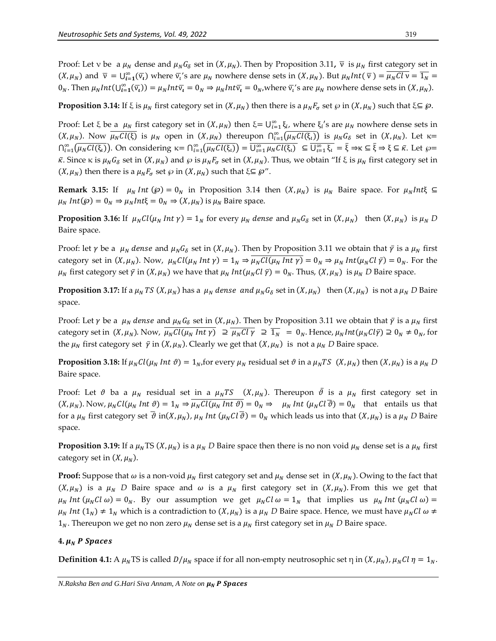Proof: Let v be a  $\mu_N$  dense and  $\mu_N G_\delta$  set in  $(X, \mu_N)$ . Then by Proposition 3.11,  $\bar{v}$  is  $\mu_N$  first category set in  $(X, \mu_N)$  and  $\bar{v} = \bigcup_{i=1}^{\infty} (\bar{v}_i)$  where  $\bar{v}_i$ 's are  $\mu_N$  nowhere dense sets in  $(X, \mu_N)$ . But  $\mu_N Int(\bar{v}) = \overline{\mu_N Cl \, v} = \overline{1_N}$  $0_N$ . Then  $\mu_N Int(\bigcup_{i=1}^{\infty} (\overline{v_i}) ) = \mu_N Int \overline{v_i} = 0_N \Rightarrow \mu_N Int \overline{v_i} = 0_N$ , where  $\overline{v_i}'$  s are  $\mu_N$  nowhere dense sets in  $(X, \mu_N)$ .

**Proposition 3.14:** If  $\xi$  is  $\mu_N$  first category set in  $(X, \mu_N)$  then there is a  $\mu_N F_\sigma$  set  $\wp$  in  $(X, \mu_N)$  such that  $\xi \subseteq \wp$ .

Proof: Let  $\xi$  be a  $\mu_N$  first category set in  $(X, \mu_N)$  then  $\xi = \bigcup_{i=1}^{\infty} \xi_i$ , where  $\xi_i$ 's are  $\mu_N$  nowhere dense sets in  $(X, \mu_N)$ . Now  $\overline{\mu_N Cl(\xi)}$  is  $\mu_N$  open in  $(X, \mu_N)$  thereupon  $\bigcap_{i=1}^{\infty} (\overline{\mu_N Cl(\xi_i)})$  is  $\mu_N G_{\delta}$  set in  $(X, \mu_N)$ . Let  $\kappa =$  $\bigcap_{i=1}^{\infty} (\overline{\mu_N Cl(\xi_i)})$ . On considering  $\kappa = \bigcap_{i=1}^{\infty} (\overline{\mu_N Cl(\xi_i)}) = \overline{U_{i=1}^{\infty} \mu_N Cl(\xi_i)} \subseteq \overline{U_{i=1}^{\infty} \xi_i} = \overline{\xi} \Rightarrow \kappa \subseteq \overline{\xi} \Rightarrow \xi \subseteq \overline{\kappa}$ . Let  $\wp = \overline{\kappa}$  $\bar{\kappa}$ . Since  $\kappa$  is  $\mu_N G_\delta$  set in  $(X, \mu_N)$  and  $\wp$  is  $\mu_N F_\sigma$  set in  $(X, \mu_N)$ . Thus, we obtain "If  $\xi$  is  $\mu_N$  first category set in  $(X, \mu_N)$  then there is a  $\mu_N F_{\sigma}$  set  $\wp$  in  $(X, \mu_N)$  such that  $\xi \subseteq \wp''$ .

**Remark 3.15:** If  $\mu_N$  Int ( $\wp$ ) =  $0_N$  in Proposition 3.14 then  $(X, \mu_N)$  is  $\mu_N$  Baire space. For  $\mu_N$ Int $\xi \subseteq$  $\mu_N Int(\mathcal{P}) = 0_N \Rightarrow \mu_N Int\xi = 0_N \Rightarrow (X, \mu_N)$  is  $\mu_N$  Baire space.

**Proposition 3.16:** If  $\mu_N Cl(\mu_N Int \gamma) = 1_N$  for every  $\mu_N$  dense and  $\mu_N G_{\delta}$  set in  $(X, \mu_N)$  then  $(X, \mu_N)$  is  $\mu_N D$ Baire space.

Proof: let  $\gamma$  be a  $\mu_N$  dense and  $\mu_N G_\delta$  set in  $(X, \mu_N)$ . Then by Proposition 3.11 we obtain that  $\bar{\gamma}$  is a  $\mu_N$  first category set in  $(X, \mu_N)$ . Now,  $\mu_N Cl(\mu_N Int \gamma) = 1_N \Rightarrow \overline{\mu_N Cl(\mu_N Int \gamma)} = 0_N \Rightarrow \mu_N Int(\mu_N Cl \bar{\gamma}) = 0_N$ . For the  $\mu_N$  first category set  $\bar{y}$  in  $(X, \mu_N)$  we have that  $\mu_N$  *Int*( $\mu_N Cl \bar{y}$ ) =  $0_N$ . Thus,  $(X, \mu_N)$  is  $\mu_N D$  Baire space.

**Proposition 3.17:** If a  $\mu_N$  TS (X,  $\mu_N$ ) has a  $\mu_N$  dense and  $\mu_N G_\delta$  set in (X,  $\mu_N$ ) then (X,  $\mu_N$ ) is not a  $\mu_N$  D Baire space.

Proof: Let  $\gamma$  be a  $\mu_N$  dense and  $\mu_N G_\delta$  set in  $(X, \mu_N)$ . Then by Proposition 3.11 we obtain that  $\bar{\gamma}$  is a  $\mu_N$  first category set in  $(X, \mu_N)$ . Now,  $\overline{\mu_N Cl(\mu_N Int \gamma)} \supseteq \overline{\mu_N Cl \gamma} \supseteq \overline{1_N} = 0_N$ . Hence,  $\mu_N Int(\mu_N Cl \overline{\gamma}) \supseteq 0_N \neq 0_N$ , for the  $\mu_N$  first category set  $\bar{\gamma}$  in  $(X, \mu_N)$ . Clearly we get that  $(X, \mu_N)$  is not a  $\mu_N$  D Baire space.

**Proposition 3.18:** If  $\mu_N Cl(\mu_N Int \vartheta) = 1_N$  for every  $\mu_N$  residual set  $\vartheta$  in a  $\mu_N TS(X, \mu_N)$  then  $(X, \mu_N)$  is a  $\mu_N D$ Baire space.

Proof: Let  $\vartheta$  ba a  $\mu_N$  residual set in a  $\mu_N TS$   $(X, \mu_N)$ . Thereupon  $\overline{\vartheta}$  is a  $\mu_N$  first category set in  $(X, \mu_N)$ . Now,  $\mu_N Cl(\mu_N Int \vartheta) = 1_N \Rightarrow \overline{\mu_N Cl(\mu_N Int \vartheta)} = 0_N \Rightarrow \mu_N Int (\mu_N Cl \overline{\vartheta}) = 0_N$  that entails us that for a  $\mu_N$  first category set  $\overline{\vartheta}$  in(X,  $\mu_N$ ),  $\mu_N$  Int ( $\mu_NCl\overline{\vartheta}$ ) =  $0_N$  which leads us into that (X,  $\mu_N$ ) is a  $\mu_N$  D Baire space.

**Proposition 3.19:** If a  $\mu_N$ TS (X,  $\mu_N$ ) is a  $\mu_N$  D Baire space then there is no non void  $\mu_N$  dense set is a  $\mu_N$  first category set in  $(X, \mu_N)$ .

**Proof:** Suppose that  $\omega$  is a non-void  $\mu_N$  first category set and  $\mu_N$  dense set in  $(X, \mu_N)$ . Owing to the fact that  $(X, \mu_N)$  is a  $\mu_N$  D Baire space and  $\omega$  is a  $\mu_N$  first category set in  $(X, \mu_N)$ . From this we get that  $\mu_N$  Int ( $\mu_N$ Cl  $\omega$ ) =  $0_N$ . By our assumption we get  $\mu_N$ Cl  $\omega = 1_N$  that implies us  $\mu_N$  Int ( $\mu_N$ Cl  $\omega$ ) =  $\mu_N$  *Int*  $(1_N) \neq 1_N$  which is a contradiction to  $(X, \mu_N)$  is a  $\mu_N$  *D* Baire space. Hence, we must have  $\mu_N$ *Cl*  $\omega \neq$  $1_N$ . Thereupon we get no non zero  $\mu_N$  dense set is a  $\mu_N$  first category set in  $\mu_N$  D Baire space.

#### 4.  $\mu_N$  **P** Spaces

**Definition 4.1:** A  $\mu_N$ TS is called  $D/\mu_N$  space if for all non-empty neutrosophic set  $\eta$  in  $(X, \mu_N)$ ,  $\mu_N Cl \eta = 1_N$ .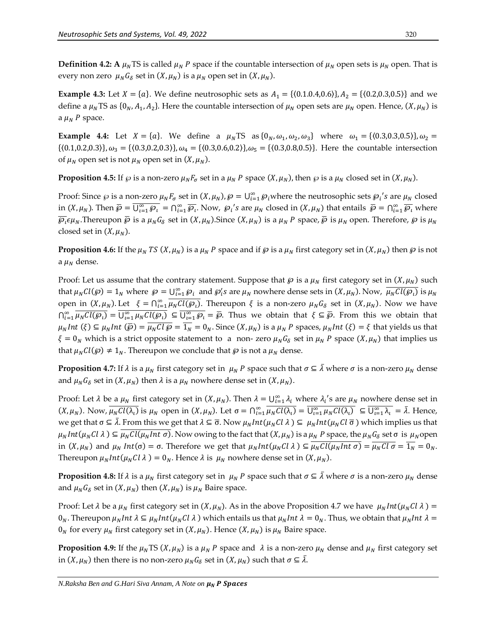**Definition 4.2: A**  $\mu_N$  **TS** is called  $\mu_N$  P space if the countable intersection of  $\mu_N$  open sets is  $\mu_N$  open. That is every non zero  $\mu_N G_\delta$  set in  $(X, \mu_N)$  is a  $\mu_N$  open set in  $(X, \mu_N)$ .

**Example 4.3:** Let  $X = \{a\}$ . We define neutrosophic sets as  $A_1 = \{(0.1.0.4, 0.6)\}, A_2 = \{(0.2, 0.3, 0.5)\}$  and we define a  $\mu_N$ TS as  $\{0_N, A_1, A_2\}$ . Here the countable intersection of  $\mu_N$  open sets are  $\mu_N$  open. Hence,  $(X, \mu_N)$  is a  $\mu_N$  P space.

**Example 4.4:** Let  $X = \{a\}$ . We define a  $\mu_N$  TS as  $\{0_N, \omega_1, \omega_2, \omega_3\}$  where  $\omega_1 = \{(0.3, 0.3, 0.5)\}, \omega_2 =$  $\{(0.1, 0.2, 0.3)\}, \omega_3 = \{(0.3, 0.2, 0.3)\}, \omega_4 = \{(0.3, 0.6, 0.2)\}, \omega_5 = \{(0.3, 0.8, 0.5)\}.$  Here the countable intersection of  $\mu_N$  open set is not  $\mu_N$  open set in  $(X, \mu_N)$ .

**Proposition 4.5:** If  $\wp$  is a non-zero  $\mu_N F_{\sigma}$  set in a  $\mu_N P$  space  $(X, \mu_N)$ , then  $\wp$  is a  $\mu_N$  closed set in  $(X, \mu_N)$ .

Proof: Since  $\wp$  is a non-zero  $\mu_N F_{\sigma}$  set in  $(X, \mu_N)$ ,  $\wp = \bigcup_{i=1}^{\infty} \wp_i$  where the neutrosophic sets  $\wp_i$ 's are  $\mu_N$  closed in  $(X, \mu_N)$ . Then  $\overline{\varphi} = \overline{\bigcup_{i=1}^{\infty} \varphi_i} = \bigcap_{i=1}^{\infty} \overline{\varphi_i}$ . Now,  $\varphi_i$ 's are  $\mu_N$  closed in  $(X, \mu_N)$  that entails  $\overline{\varphi} = \bigcap_{i=1}^{\infty} \overline{\varphi_i}$  where  $\overline{\wp_\iota} \epsilon\mu_N.$ Thereupon  $\bar\wp$  is a  $\mu_NG_\delta$  set in  $(X,\mu_N).$ Since  $(X,\mu_N)$  is a  $\mu_N$   $P$  space,  $\bar\wp$  is  $\mu_N$  open. Therefore,  $\wp$  is  $\mu_N$ closed set in  $(X, \mu_N)$ .

**Proposition 4.6:** If the  $\mu_N$  TS  $(X, \mu_N)$  is a  $\mu_N$  P space and if  $\wp$  is a  $\mu_N$  first category set in  $(X, \mu_N)$  then  $\wp$  is not a  $\mu_N$  dense.

Proof: Let us assume that the contrary statement. Suppose that  $\wp$  is a  $\mu_N$  first category set in  $(X, \mu_N)$  such that  $\mu_N Cl(\mathfrak{G}) = 1_N$  where  $\mathfrak{G} = \bigcup_{i=1}^{\infty} \mathfrak{G}_i$  and  $\mathfrak{G}_i$ 's are  $\mu_N$  nowhere dense sets in  $(X, \mu_N)$ . Now,  $\overline{\mu_N Cl(\mathfrak{G}_l)}$  is  $\mu_N$ open in  $(X, \mu_N)$ . Let  $\xi = \bigcap_{i=1}^{\infty} \overline{\mu_N Cl(\mathcal{S}_i)}$ . Thereupon  $\xi$  is a non-zero  $\mu_N G_\delta$  set in  $(X, \mu_N)$ . Now we have  $\bigcap_{i=1}^{\infty} \overline{\mu_N Cl(\mathcal{D}_i)} = \overline{\bigcup_{i=1}^{\infty} \mu_N Cl(\mathcal{D}_i)} \subseteq \overline{\bigcup_{i=1}^{\infty} \mathcal{D}_i} = \overline{\mathcal{D}}$ . Thus we obtain that  $\xi \subseteq \overline{\mathcal{D}}$ . From this we obtain that  $\mu_N Int(\xi) \subseteq \mu_N Int(\overline{\wp}) = \overline{\mu_N CI \ \wp} = \overline{1_N} = 0_N$ . Since  $(X, \mu_N)$  is a  $\mu_N P$  spaces,  $\mu_N Int(\xi) = \xi$  that yields us that  $\xi = 0_N$  which is a strict opposite statement to a non- zero  $\mu_N G_\delta$  set in  $\mu_N P$  space  $(X, \mu_N)$  that implies us that  $\mu_N Cl(\mathcal{P}) \neq 1_N$ . Thereupon we conclude that  $\mathcal{P}$  is not a  $\mu_N$  dense.

**Proposition 4.7:** If  $\lambda$  is a  $\mu_N$  first category set in  $\mu_N$  P space such that  $\sigma \subseteq \overline{\lambda}$  where  $\sigma$  is a non-zero  $\mu_N$  dense and  $\mu_N G_\delta$  set in  $(X, \mu_N)$  then  $\lambda$  is a  $\mu_N$  nowhere dense set in  $(X, \mu_N)$ .

Proof: Let  $\lambda$  be a  $\mu_N$  first category set in  $(X, \mu_N)$ . Then  $\lambda = \bigcup_{i=1}^{\infty} \lambda_i$  where  $\lambda_i$ 's are  $\mu_N$  nowhere dense set in  $(X, \mu_N)$ . Now,  $\overline{\mu_N Cl(\lambda_i)}$  is  $\mu_N$  open in  $(X, \mu_N)$ . Let  $\sigma = \bigcap_{i=1}^{\infty} \overline{\mu_N Cl(\lambda_i)} = \overline{\bigcup_{i=1}^{\infty} \mu_N Cl(\lambda_i)} \subseteq \overline{\bigcup_{i=1}^{\infty} \lambda_i} = \overline{\lambda}$ . Hence, we get that σ ⊆  $\bar{\lambda}$ . From this we get that  $\lambda \subseteq \bar{\sigma}$ . Now  $\mu_N Int(\mu_N Cl \lambda) \subseteq \mu_N Int(\mu_N Cl \bar{\sigma})$  which implies us that  $\mu_N Int(\mu_N Cl \lambda) \subseteq \overline{\mu_N Cl(\mu_N Int \sigma)}$ . Now owing to the fact that  $(X, \mu_N)$  is a  $\mu_N P$  space, the  $\mu_N G_\delta$  set  $\sigma$  is  $\mu_N$ open in  $(X, \mu_N)$  and  $\mu_N Int(\sigma) = \sigma$ . Therefore we get that  $\mu_N Int(\mu_N Cl \lambda) \subseteq \overline{\mu_N Cl(\mu_N Int \sigma)} = \overline{\mu_N Cl \sigma} = \overline{1_N} = 0_N$ . Thereupon  $\mu_N Int(\mu_N Cl \lambda) = 0_N$ . Hence  $\lambda$  is  $\mu_N$  nowhere dense set in  $(X, \mu_N)$ .

**Proposition 4.8:** If  $\lambda$  is a  $\mu_N$  first category set in  $\mu_N$  *P* space such that  $\sigma \subseteq \overline{\lambda}$  where  $\sigma$  is a non-zero  $\mu_N$  dense and  $\mu_N G_\delta$  set in  $(X, \mu_N)$  then  $(X, \mu_N)$  is  $\mu_N$  Baire space.

Proof: Let  $\lambda$  be a  $\mu_N$  first category set in  $(X, \mu_N)$ . As in the above Proposition 4.7 we have  $\mu_N Int(\mu_N CL \lambda) =$  $0_N$ . Thereupon  $\mu_N Int \lambda \subseteq \mu_N Int(\mu_N Cl \lambda)$  which entails us that  $\mu_N Int \lambda = 0_N$ . Thus, we obtain that  $\mu_N Int \lambda =$  $0_N$  for every  $\mu_N$  first category set in  $(X, \mu_N)$ . Hence  $(X, \mu_N)$  is  $\mu_N$  Baire space.

**Proposition 4.9:** If the  $\mu_N$ TS ( $X, \mu_N$ ) is a  $\mu_N$  P space and  $\lambda$  is a non-zero  $\mu_N$  dense and  $\mu_N$  first category set in  $(X, \mu_N)$  then there is no non-zero  $\mu_N G_\delta$  set in  $(X, \mu_N)$  such that  $\sigma \subseteq \overline{\lambda}$ .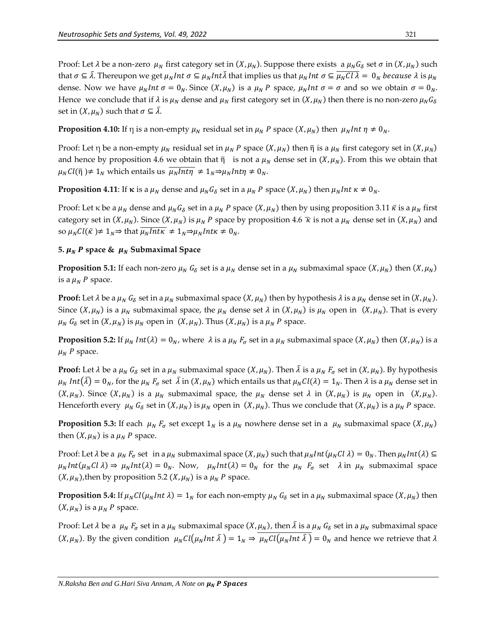Proof: Let  $\lambda$  be a non-zero  $\mu_N$  first category set in  $(X, \mu_N)$ . Suppose there exists a  $\mu_N G_\delta$  set  $\sigma$  in  $(X, \mu_N)$  such that  $\sigma\subseteq\bar\lambda$ . Thereupon we get  $\mu_NInt$   $\sigma\subseteq\mu_NInt\bar\lambda$  that implies us that  $\mu_NInt$   $\sigma\subseteq\overline{\mu_NCl$   $\lambda}=\;0_N$  because  $\lambda$  is  $\mu_N$ dense. Now we have  $\mu_N Int \sigma = 0_N$ . Since  $(X, \mu_N)$  is a  $\mu_N P$  space,  $\mu_N Int \sigma = \sigma$  and so we obtain  $\sigma = 0_N$ . Hence we conclude that if  $\lambda$  is  $\mu_N$  dense and  $\mu_N$  first category set in  $(X, \mu_N)$  then there is no non-zero  $\mu_N G_\delta$ set in  $(X, \mu_N)$  such that  $\sigma \subseteq \overline{\lambda}$ .

**Proposition 4.10:** If  $\eta$  is a non-empty  $\mu_N$  residual set in  $\mu_N P$  space  $(X, \mu_N)$  then  $\mu_N Int \eta \neq 0_N$ .

Proof: Let  $\eta$  be a non-empty  $\mu_N$  residual set in  $\mu_N$  P space  $(X, \mu_N)$  then  $\overline{\eta}$  is a  $\mu_N$  first category set in  $(X, \mu_N)$ and hence by proposition 4.6 we obtain that  $\bar{\eta}$  is not a  $\mu_N$  dense set in  $(X, \mu_N)$ . From this we obtain that  $\mu_N Cl(\bar{\eta}) \neq 1_N$  which entails us  $\overline{\mu_N Int \eta} \neq 1_N \Rightarrow \mu_N Int \eta \neq 0_N$ .

**Proposition 4.11**: If **κ** is a  $\mu_N$  dense and  $\mu_N G_\delta$  set in a  $\mu_N P$  space  $(X, \mu_N)$  then  $\mu_N Int \kappa \neq 0_N$ .

Proof: Let  $\kappa$  be a  $\mu_N$  dense and  $\mu_N G_\delta$  set in a  $\mu_N P$  space  $(X, \mu_N)$  then by using proposition 3.11  $\bar{\kappa}$  is a  $\mu_N$  first category set in  $(X, \mu_N)$ . Since  $(X, \mu_N)$  is  $\mu_N$  P space by proposition 4.6  $\bar{\kappa}$  is not a  $\mu_N$  dense set in  $(X, \mu_N)$  and so  $\mu_N Cl(\bar{\kappa}) \neq 1_N \Rightarrow$  that  $\overline{\mu_N Int \kappa} \neq 1_N \Rightarrow \mu_N Int \kappa \neq 0_N$ .

## **5.**  $\mu_N$  P space &  $\mu_N$  Submaximal Space

**Proposition 5.1:** If each non-zero  $\mu_N G_\delta$  set is a  $\mu_N$  dense set in a  $\mu_N$  submaximal space  $(X, \mu_N)$  then  $(X, \mu_N)$ is a  $\mu_N$  *P* space.

**Proof:** Let  $\lambda$  be a  $\mu_N$   $G_\delta$  set in a  $\mu_N$  submaximal space  $(X, \mu_N)$  then by hypothesis  $\lambda$  is a  $\mu_N$  dense set in  $(X, \mu_N)$ . Since  $(X, \mu_N)$  is a  $\mu_N$  submaximal space, the  $\mu_N$  dense set  $\lambda$  in  $(X, \mu_N)$  is  $\mu_N$  open in  $(X, \mu_N)$ . That is every  $\mu_N G_\delta$  set in  $(X, \mu_N)$  is  $\mu_N$  open in  $(X, \mu_N)$ . Thus  $(X, \mu_N)$  is a  $\mu_N P$  space.

**Proposition 5.2:** If  $\mu_N Int(\lambda) = 0_N$ , where  $\lambda$  is a  $\mu_N F_{\sigma}$  set in a  $\mu_N$  submaximal space  $(X, \mu_N)$  then  $(X, \mu_N)$  is a  $\mu_N$  P space.

**Proof:** Let  $\lambda$  be a  $\mu_N G_\delta$  set in a  $\mu_N$  submaximal space  $(X, \mu_N)$ . Then  $\overline{\lambda}$  is a  $\mu_N F_\sigma$  set in  $(X, \mu_N)$ . By hypothesis  $\mu_N Int(\bar{\lambda}) = 0_N$ , for the  $\mu_N F_{\sigma}$  set  $\bar{\lambda}$  in  $(X, \mu_N)$  which entails us that  $\mu_N Cl(\lambda) = 1_N$ . Then  $\lambda$  is a  $\mu_N$  dense set in  $(X, \mu_N)$ . Since  $(X, \mu_N)$  is a  $\mu_N$  submaximal space, the  $\mu_N$  dense set  $\lambda$  in  $(X, \mu_N)$  is  $\mu_N$  open in  $(X, \mu_N)$ . Henceforth every  $\mu_N G_\delta$  set in  $(X, \mu_N)$  is  $\mu_N$  open in  $(X, \mu_N)$ . Thus we conclude that  $(X, \mu_N)$  is a  $\mu_N P$  space.

**Proposition 5.3:** If each  $\mu_N F_{\sigma}$  set except  $1_N$  is a  $\mu_N$  nowhere dense set in a  $\mu_N$  submaximal space  $(X, \mu_N)$ then  $(X, \mu_N)$  is a  $\mu_N$  P space.

Proof: Let  $\lambda$  be a  $\mu_N F_{\sigma}$  set in a  $\mu_N$  submaximal space  $(X, \mu_N)$  such that  $\mu_N Int(\mu_N Cl \lambda) = 0_N$ . Then  $\mu_N Int(\lambda) \subseteq$  $\mu_N Int(\mu_N C l \lambda) \Rightarrow \mu_N Int(\lambda) = 0_N$ . Now,  $\mu_N Int(\lambda) = 0_N$  for the  $\mu_N F_\sigma$  set  $\lambda$  in  $\mu_N$  submaximal space  $(X, \mu_N)$ , then by proposition 5.2  $(X, \mu_N)$  is a  $\mu_N$  P space.

**Proposition 5.4:** If  $\mu_N Cl(\mu_N Int \lambda) = 1_N$  for each non-empty  $\mu_N G_\delta$  set in a  $\mu_N$  submaximal space  $(X, \mu_N)$  then  $(X, \mu_N)$  is a  $\mu_N$  *P* space.

Proof: Let  $\lambda$  be a  $\mu_N$   $F_\sigma$  set in a  $\mu_N$  submaximal space  $(X, \mu_N)$ , then  $\overline{\lambda}$  is a  $\mu_N$   $G_\delta$  set in a  $\mu_N$  submaximal space  $(X, \mu_N)$ . By the given condition  $\mu_N Cl(\mu_N Int \bar{\lambda}) = 1_N \Rightarrow \overline{\mu_N Cl(\mu_N Int \bar{\lambda})} = 0_N$  and hence we retrieve that  $\lambda$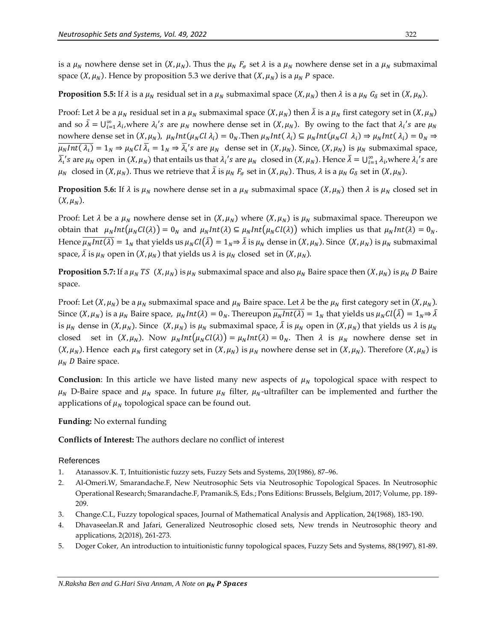is a  $\mu_N$  nowhere dense set in  $(X, \mu_N)$ . Thus the  $\mu_N$   $F_{\sigma}$  set  $\lambda$  is a  $\mu_N$  nowhere dense set in a  $\mu_N$  submaximal space  $(X, \mu_N)$ . Hence by proposition 5.3 we derive that  $(X, \mu_N)$  is a  $\mu_N$  P space.

## **Proposition 5.5:** If  $\lambda$  is a  $\mu_N$  residual set in a  $\mu_N$  submaximal space  $(X, \mu_N)$  then  $\lambda$  is a  $\mu_N$   $G_\delta$  set in  $(X, \mu_N)$ .

Proof: Let  $\lambda$  be a  $\mu_N$  residual set in a  $\mu_N$  submaximal space  $(X, \mu_N)$  then  $\bar{\lambda}$  is a  $\mu_N$  first category set in  $(X, \mu_N)$ and so  $\bar{\lambda} = \bigcup_{i=1}^{\infty} \lambda_i$ , where  $\lambda_i$ 's are  $\mu_N$  nowhere dense set in  $(X, \mu_N)$ . By owing to the fact that  $\lambda_i$ 's are  $\mu_N$ nowhere dense set in  $(X,\mu_N)$ ,  $\mu_N Int(\mu_N Cl\,\lambda_i) = 0_N$ . Then  $\mu_N Int(\lambda_i) \subseteq \mu_N Int(\mu_N Cl\,\lambda_i) \Rightarrow \mu_N Int(\lambda_i) = 0_N \Rightarrow$  $\overline{\mu_N Int(\lambda_l)} = 1_N \Rightarrow \mu_N Cl \overline{\lambda_l} = 1_N \Rightarrow \overline{\lambda_l}$ 's are  $\mu_N$  dense set in  $(X, \mu_N)$ . Since,  $(X, \mu_N)$  is  $\mu_N$  submaximal space,  $\bar{\lambda}_i$ 's are  $\mu_N$  open in  $(X, \mu_N)$  that entails us that  $\lambda_i$ 's are  $\mu_N$  closed in  $(X, \mu_N)$ . Hence  $\bar{\lambda} = \bigcup_{i=1}^{\infty} \lambda_i$ , where  $\lambda_i$ 's are  $\mu_N$  closed in  $(X, \mu_N)$ . Thus we retrieve that  $\overline{\lambda}$  is  $\mu_N F_{\sigma}$  set in  $(X, \mu_N)$ . Thus,  $\lambda$  is a  $\mu_N G_{\delta}$  set in  $(X, \mu_N)$ .

**Proposition 5.6:** If  $\lambda$  is  $\mu_N$  nowhere dense set in a  $\mu_N$  submaximal space  $(X, \mu_N)$  then  $\lambda$  is  $\mu_N$  closed set in  $(X, \mu_N)$ .

Proof: Let  $\lambda$  be a  $\mu_N$  nowhere dense set in  $(X, \mu_N)$  where  $(X, \mu_N)$  is  $\mu_N$  submaximal space. Thereupon we obtain that  $\mu_N Int(\mu_N Cl(\lambda)) = 0_N$  and  $\mu_N Int(\lambda) \subseteq \mu_N Int(\mu_N Cl(\lambda))$  which implies us that  $\mu_N Int(\lambda) = 0_N$ . Hence  $\overline{\mu_N Int(\lambda)} = 1_N$  that yields us  $\mu_N Cl(\overline{\lambda}) = 1_N \Rightarrow \overline{\lambda}$  is  $\mu_N$  dense in  $(X, \mu_N)$ . Since  $(X, \mu_N)$  is  $\mu_N$  submaximal space,  $\bar{\lambda}$  is  $\mu_N$  open in  $(X, \mu_N)$  that yields us  $\lambda$  is  $\mu_N$  closed set in  $(X, \mu_N)$ .

**Proposition 5.7:** If a  $\mu_N$  TS (X,  $\mu_N$ ) is  $\mu_N$  submaximal space and also  $\mu_N$  Baire space then  $(X, \mu_N)$  is  $\mu_N$  D Baire space.

Proof: Let  $(X, \mu_N)$  be a  $\mu_N$  submaximal space and  $\mu_N$  Baire space. Let  $\lambda$  be the  $\mu_N$  first category set in  $(X, \mu_N)$ . Since  $(X,\mu_N)$  is a  $\mu_N$  Baire space,  $\mu_N Int(\lambda) = 0_N$ . Thereupon  $\overline{\mu_N Int(\lambda)} = 1_N$  that yields us  $\mu_N Cl(\bar{\lambda}) = 1_N \Rightarrow \bar{\lambda}$ is  $\mu_N$  dense in  $(X, \mu_N)$ . Since  $(X, \mu_N)$  is  $\mu_N$  submaximal space,  $\bar{\lambda}$  is  $\mu_N$  open in  $(X, \mu_N)$  that yields us  $\lambda$  is  $\mu_N$ closed set in  $(X, \mu_N)$ . Now  $\mu_N Int(\mu_N Cl(\lambda)) = \mu_N Int(\lambda) = 0_N$ . Then  $\lambda$  is  $\mu_N$  nowhere dense set in  $(X, \mu_N)$ . Hence each  $\mu_N$  first category set in  $(X, \mu_N)$  is  $\mu_N$  nowhere dense set in  $(X, \mu_N)$ . Therefore  $(X, \mu_N)$  is  $\mu_N$  D Baire space.

**Conclusion**: In this article we have listed many new aspects of  $\mu_N$  topological space with respect to  $\mu_N$  D-Baire space and  $\mu_N$  space. In future  $\mu_N$  filter,  $\mu_N$ -ultrafilter can be implemented and further the applications of  $\mu_N$  topological space can be found out.

## **Funding:** No external funding

## **Conflicts of Interest:** The authors declare no conflict of interest

## References

- 1. Atanassov.K. T, Intuitionistic fuzzy sets, Fuzzy Sets and Systems, 20(1986), 87–96.
- 2. Al-Omeri.W, Smarandache.F, New Neutrosophic Sets via Neutrosophic Topological Spaces. In Neutrosophic Operational Research; Smarandache.F, Pramanik.S, Eds.; Pons Editions: Brussels, Belgium, 2017; Volume, pp. 189- 209.
- 3. Change.C.L, Fuzzy topological spaces, Journal of Mathematical Analysis and Application, 24(1968), 183-190.
- 4. Dhavaseelan.R and Jafari, Generalized Neutrosophic closed sets, New trends in Neutrosophic theory and applications, 2(2018), 261-273.
- 5. Doger Coker, An introduction to intuitionistic funny topological spaces, Fuzzy Sets and Systems, 88(1997), 81-89.